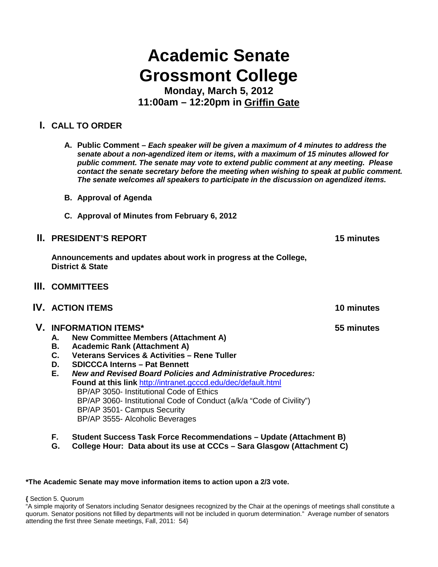# **Academic Senate Grossmont College**

**Monday, March 5, 2012 11:00am – 12:20pm in Griffin Gate**

# **I. CALL TO ORDER**

**A. Public Comment –** *Each speaker will be given a maximum of 4 minutes to address the senate about a non-agendized item or items, with a maximum of 15 minutes allowed for public comment. The senate may vote to extend public comment at any meeting. Please contact the senate secretary before the meeting when wishing to speak at public comment. The senate welcomes all speakers to participate in the discussion on agendized items.*

- **B. Approval of Agenda**
- **C. Approval of Minutes from February 6, 2012**

# **II. PRESIDENT'S REPORT 15 minutes**

**Announcements and updates about work in progress at the College, District & State**

- **III. COMMITTEES**
- **IV. ACTION ITEMS 10 minutes**

# **V. INFORMATION ITEMS\* 55 minutes**

- **A. New Committee Members (Attachment A)**
- **B. Academic Rank (Attachment A)**
- **C. Veterans Services & Activities – Rene Tuller**
- **D. SDICCCA Interns – Pat Bennett**
- **E.** *New and Revised Board Policies and Administrative Procedures:* **Found at this link** <http://intranet.gcccd.edu/dec/default.html> BP/AP 3050- Institutional Code of Ethics BP/AP 3060- Institutional Code of Conduct (a/k/a "Code of Civility") BP/AP 3501- Campus Security BP/AP 3555- Alcoholic Beverages
- **F. Student Success Task Force Recommendations – Update (Attachment B)**
- **G. College Hour: Data about its use at CCCs – Sara Glasgow (Attachment C)**

#### **\*The Academic Senate may move information items to action upon a 2/3 vote.**

**{** Section 5. Quorum

<sup>&</sup>quot;A simple majority of Senators including Senator designees recognized by the Chair at the openings of meetings shall constitute a quorum. Senator positions not filled by departments will not be included in quorum determination." Average number of senators attending the first three Senate meetings, Fall, 2011: 54}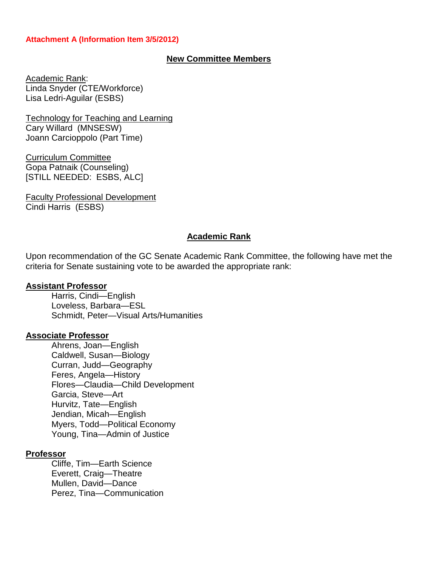## **Attachment A (Information Item 3/5/2012)**

# **New Committee Members**

Academic Rank: Linda Snyder (CTE/Workforce) Lisa Ledri-Aguilar (ESBS)

Technology for Teaching and Learning Cary Willard (MNSESW) Joann Carcioppolo (Part Time)

Curriculum Committee Gopa Patnaik (Counseling) [STILL NEEDED: ESBS, ALC]

Faculty Professional Development Cindi Harris (ESBS)

#### **Academic Rank**

Upon recommendation of the GC Senate Academic Rank Committee, the following have met the criteria for Senate sustaining vote to be awarded the appropriate rank:

#### **Assistant Professor**

Harris, Cindi—English Loveless, Barbara—ESL Schmidt, Peter—Visual Arts/Humanities

#### **Associate Professor**

Ahrens, Joan—English Caldwell, Susan—Biology Curran, Judd—Geography Feres, Angela—History Flores—Claudia—Child Development Garcia, Steve—Art Hurvitz, Tate—English Jendian, Micah—English Myers, Todd—Political Economy Young, Tina—Admin of Justice

## **Professor**

Cliffe, Tim—Earth Science Everett, Craig—Theatre Mullen, David—Dance Perez, Tina—Communication